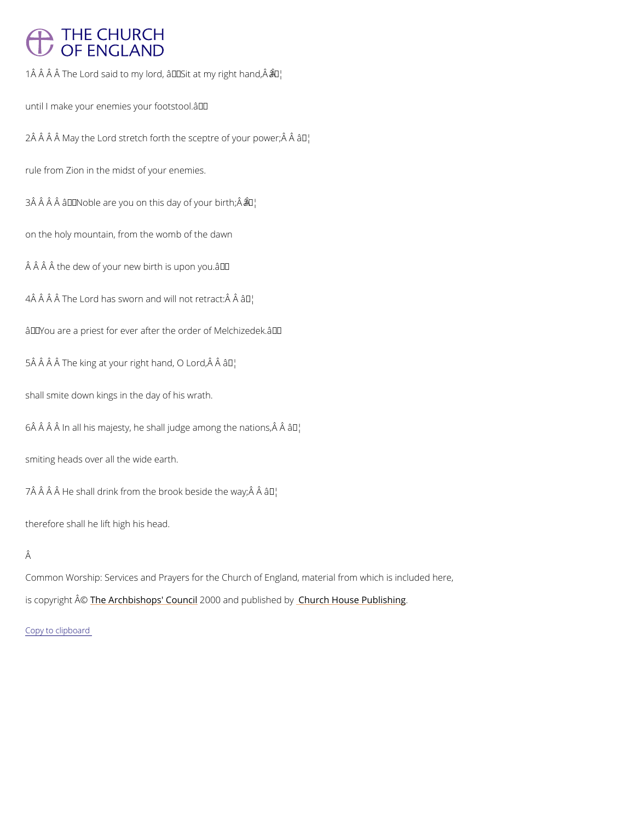## **THE CHURCH** OF ENGLAND

1  $\hat{A}$   $\hat{A}$   $\hat{A}$   $\hat{A}$   $\hat{A}$   $\hat{B}$  the Lord said to my lord,  $\hat{a}$   $\hat{\theta}$   $\hat{\theta}$   $\hat{\theta}$  at my right hand,  $\hat{A}$   $\hat{A}$ 

until I make your enemies your footstool. '

 $2\,\hat{A}$   $\hat{A}$   $\hat{A}$   $\hat{A}$   $\hat{A}$   $\hat{B}$   $\hat{A}$   $\hat{B}$   $\hat{C}$  are  $\hat{A}$  forth the sad  $\hat{B}$   $\hat{C}$   $\hat{B}$   $\hat{C}$   $\hat{C}$   $\hat{C}$   $\hat{C}$   $\hat{C}$   $\hat{C}$   $\hat{C}$   $\hat{C}$   $\hat{C}$   $\hat{C}$   $\hat{C}$   $\hat{C}$ 

rule from Zion in the midst of your enemies.

 $3 \hat{A}$   $\hat{A}$   $\hat{A}$   $\hat{A}$   $\hat{B}$   $\epsilon$  Noble are you on thi $\hat{a}$  May of your birth;  $\hat{A}$   $\hat{A}$ 

on the holy mountain, from the womb of the dawn

 $\hat{A}$   $\hat{A}$   $\hat{A}$  the dew of your new birth is upon you. $\hat{a} \in \mathbb{M}$ 

 $4$   $\hat{A}$   $\hat{A}$   $\hat{A}$   $\hat{A}$   $\hat{A}$   $\hat{B}$   $\hat{C}$   $\hat{A}$   $\hat{C}$   $\hat{A}$   $\hat{B}$   $\hat{B}$   $\hat{C}$   $\hat{C}$   $\hat{C}$   $\hat{C}$   $\hat{C}$   $\hat{C}$   $\hat{C}$   $\hat{C}$   $\hat{C}$   $\hat{C}$   $\hat{C}$   $\hat{C}$   $\hat{C}$   $\hat{C}$   $\hat{C}$ 

 $\hat{a} \in \tilde{y}$  You are a priest for ever after the order of Melchizedek. $\hat{a} \in \tilde{y}$ 

 $5 \,\hat{A}$   $\hat{A}$   $\hat{A}$   $\hat{A}$   $\hat{B}$   $\hat{C}$  at your righat  $M$  and,  $O$  Lord,  $\hat{A}$   $\hat{A}$ 

shall smite down kings in the day of his wrath.

 $6 \text{\AA}$   $\text{\AA}$   $\text{\AA}$  In all his majesty, he shall jud $\text{\AA}$   $\text{\AA}$   $\text{\AA}$  mong the nations,  $\text{\AA}$   $\text{\AA}$ 

smiting heads over all the wide earth.

 $7 \,\hat{A}$   $\hat{A}$   $\hat{A}$   $\hat{A}$  He shall drink from the bro $\hat{a}$  K<sup>M</sup> beside the way;  $\hat{A}$   $\hat{A}$ 

therefore shall he lift high his head.

## Â

Common Worship: Services and Prayers for the Church of England, material from which is inc is copyrighth  $\hat{\mathbb{A}}$  @Archbishops' 2000 wind publish head roby House Publishing